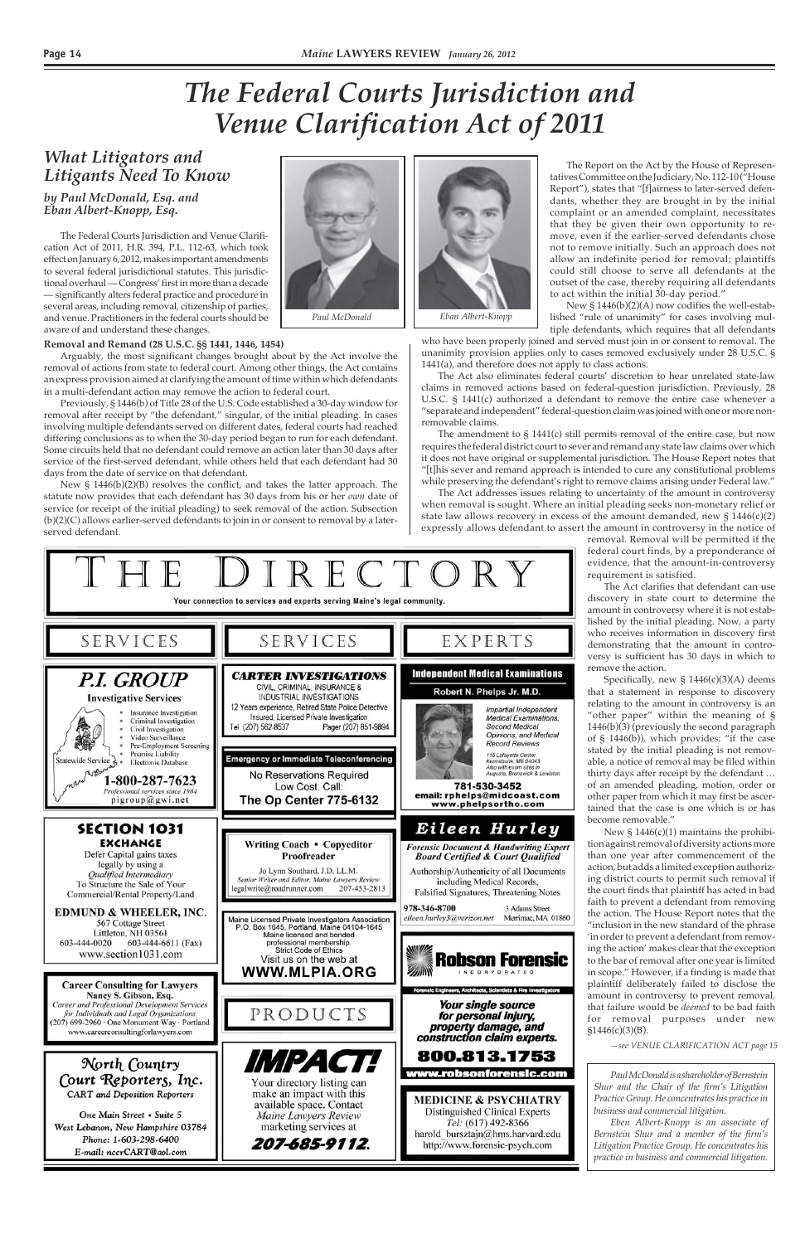#### *by Paul McDonald, Esq. and Eban Albert-Knopp, Esq.*

### *The Federal Courts Jurisdiction and Venue Clarification Act of 2011*

*—see VENUE CLARIFICATION ACT page 15*

The Federal Courts Jurisdiction and Venue Clarification Act of 2011, H.R. 394, P.L. 112-63, which took effect on January 6, 2012, makes important amendments to several federal jurisdictional statutes. This jurisdictional overhaul — Congress' first in more than a decade — significantly alters federal practice and procedure in several areas, including removal, citizenship of parties, and venue. Practitioners in the federal courts should be aware of and understand these changes.

#### **Removal and Remand (28 U.S.C. §§ 1441, 1446, 1454)**

Arguably, the most significant changes brought about by the Act involve the removal of actions from state to federal court. Among other things, the Act contains an express provision aimed at clarifying the amount of time within which defendants in a multi-defendant action may remove the action to federal court.

*Litigants Need To Know* The Report on the Act by the House of Represen-<br>Litigants Need To Know tatives Committee on the Judiciary, No. 112-10 ("House Report"), states that "[f]airness to later-served defendants, whether they are brought in by the initial complaint or an amended complaint, necessitates that they be given their own opportunity to remove, even if the earlier-served defendants chose not to remove initially. Such an approach does not allow an indefinite period for removal; plaintiffs could still choose to serve all defendants at the outset of the case, thereby requiring all defendants to act within the initial 30-day period." New § 1446(b)(2)(A) now codifies the well-estab-

Previously, § 1446(b) of Title 28 of the U.S. Code established a 30-day window for removal after receipt by "the defendant," singular, of the initial pleading. In cases involving multiple defendants served on different dates, federal courts had reached differing conclusions as to when the 30-day period began to run for each defendant. Some circuits held that no defendant could remove an action later than 30 days after service of the first-served defendant, while others held that each defendant had 30 days from the date of service on that defendant.

New § 1446(b)(2)(B) resolves the conflict, and takes the latter approach. The statute now provides that each defendant has 30 days from his or her *own* date of service (or receipt of the initial pleading) to seek removal of the action. Subsection (b)(2)(C) allows earlier-served defendants to join in or consent to removal by a laterserved defendant.

# *What Litigators and*

Specifically, new §  $1446(c)(3)(A)$  deems that a statement in response to discovery relating to the amount in controversy is an "other paper" within the meaning of § 1446(b)(3) (previously the second paragraph of § 1446(b)), which provides: "if the case stated by the initial pleading is not removable, a notice of removal may be filed within thirty days after receipt by the defendant … of an amended pleading, motion, order or other paper from which it may first be ascertained that the case is one which is or has become removable."

lished "rule of unanimity" for cases involving mul-

tiple defendants, which requires that all defendants who have been properly joined and served must join in or consent to removal. The unanimity provision applies only to cases removed exclusively under 28 U.S.C. § 1441(a), and therefore does not apply to class actions.

The Act also eliminates federal courts' discretion to hear unrelated state-law claims in removed actions based on federal-question jurisdiction. Previously, 28 U.S.C. § 1441(c) authorized a defendant to remove the entire case whenever a "separate and independent" federal-question claim was joined with one or more nonremovable claims.

The amendment to § 1441(c) still permits removal of the entire case, but now requires the federal district court to sever and remand any state law claims over which it does not have original or supplemental jurisdiction. The House Report notes that "[t]his sever and remand approach is intended to cure any constitutional problems while preserving the defendant's right to remove claims arising under Federal law."

The Act addresses issues relating to uncertainty of the amount in controversy when removal is sought. Where an initial pleading seeks non-monetary relief or state law allows recovery in excess of the amount demanded, new  $\S 1446(c)(2)$ expressly allows defendant to assert the amount in controversy in the notice of

Your connection to services and experts serving Maine's legal community. EXPERTS SERVICES SERVICES **Independent Medical Examinations CARTER INVESTIGATIONS** *P.I. GROUP* CIVIL, CRIMINAL, INSURANCE & Robert N. Phelps Jr. M.D. INDUSTRIAL INVESTIGATIONS **Investigative Services** 12 Years experience, Retired State Police Detective Impartial Independent Insurance Investigation Insured, Licensed Private Investigation **Medical Examinations** Criminal Investigation Tel. (207) 562-8537 Pager (207) 851-9894 **Second Medical** Civil Investigation Opinions, and Medical Video Surveillance **Record Reviews** Pre-Employment Screening Premise Liability 115 Lafayette Center **Emergency or Immediate Teleconferencing** Statewide Service 2 Kennebunk, ME 04043<br>Kennebunk, ME 04043<br>Also with exam sites in<br>Augusta, Brunswick & Lewistor Electronic Database 5358 No Reservations Required 1-800-287-7623 Low Cost. Call: 781-530-3452 Professional services since 1984 email: rphelps@midcoast.com pigroup@gwi.net The Op Center 775-6132 www.phelpsortho.com Eileen Hurley SECTION 1031 **EXCHANGE Writing Coach • Copyeditor Forensic Document & Handwriting Expert** Defer Capital gains taxes **Board Certified & Court Qualified** Proofreader legally by using a Jo Lynn Southard, J.D, LL.M. Authorship/Authenticity of all Documents Qualified Intermediary Senior Writer and Editor, Maine Lawyers Review including Medical Records, To Structure the Sale of Your legalwrite@roadrunner.com 207-453-2813 Falsified Signatures, Threatening Notes Commercial/Rental Property/Land 978-346-8700 3 Adams Street

removal. Removal will be permitted if the federal court finds, by a preponderance of evidence, that the amount-in-controversy requirement is satisfied.

The Act clarifies that defendant can use discovery in state court to determine the amount in controversy where it is not established by the initial pleading. Now, a party who receives information in discovery first demonstrating that the amount in controversy is sufficient has 30 days in which to remove the action.

New § 1446(c)(1) maintains the prohibition against removal of diversity actions more than one year after commencement of the action, but adds a limited exception authorizing district courts to permit such removal if the court finds that plaintiff has acted in bad faith to prevent a defendant from removing the action. The House Report notes that the "inclusion in the new standard of the phrase 'in order to prevent a defendant from removing the action' makes clear that the exception to the bar of removal after one year is limited in scope." However, if a finding is made that plaintiff deliberately failed to disclose the amount in controversy to prevent removal, that failure would be *deemed* to be bad faith for removal purposes under new §1446(c)(3)(B).



**Career Consulting for Lawyers** Nancy S. Gibson, Esq. Career and Professional Development Services for Individuals and Legal Organizations (207) 699-2960 · One Monument Way · Portland www.careerconsultingforlawyers.com

North Country Court Reporters, Inc. **CART** and Deposition Reporters

One Main Street • Suite 5 West Lebanon, New Hampshire 03784 Phone: 1-603-298-6400 E-mail: nccrCART@aol.com

Maine Licensed Private Investigators Association<br>P.O. Box 1645, Portland, Maine 04104-1645 Maine licensed and bonded professional membership. **Strict Code of Ethics** Visit us on the web at WWW.MLPIA.ORG

PRODUCTS

*MPACTH* 

Your directory listing can

make an impact with this

available space. Contact

Maine Lawyers Review

marketing services at

207-685-9112.



eileen.hurlev3@verizon.net Merrimac, MA 01860

tects, Scientists & Fi

*Your single source* for personal injury, property damage, and construction claim experts.

### 800.813.1753

#### ww.robsonforensic.com

**MEDICINE & PSYCHIATRY** Distinguished Clinical Experts Tel: (617) 492-8366 harold\_bursztajn@hms.harvard.edu http://www.forensic-psych.com



*Paul McDonald is a shareholder of Bernstein Shur and the Chair of the firm's Litigation Practice Group. He concentrates his practice in business and commercial litigation.*

*Eben Albert-Knopp is an associate of Bernstein Shur and a member of the firm's Litigation Practice Group. He concentrates his practice in business and commercial litigation.*